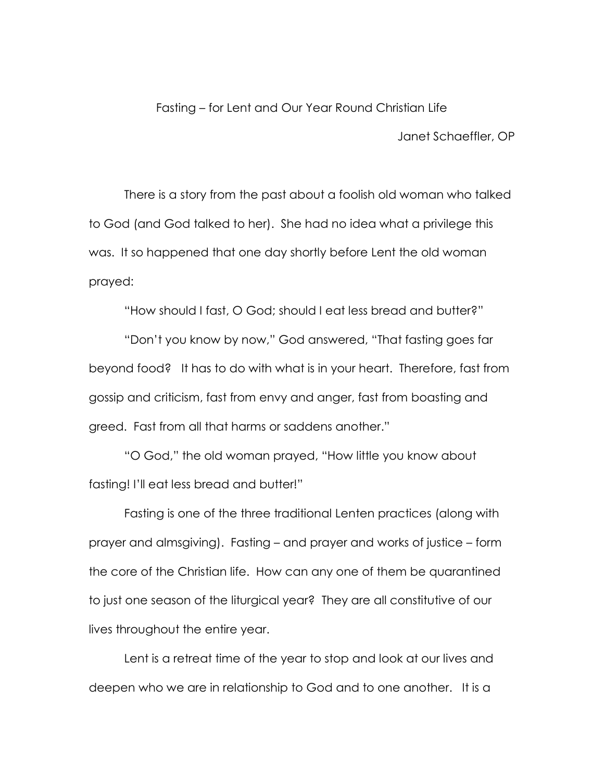## Fasting – for Lent and Our Year Round Christian Life

Janet Schaeffler, OP

There is a story from the past about a foolish old woman who talked to God (and God talked to her). She had no idea what a privilege this was. It so happened that one day shortly before Lent the old woman prayed:

"How should I fast, O God; should I eat less bread and butter?"

"Don't you know by now," God answered, "That fasting goes far beyond food? It has to do with what is in your heart. Therefore, fast from gossip and criticism, fast from envy and anger, fast from boasting and greed. Fast from all that harms or saddens another."

"O God," the old woman prayed, "How little you know about fasting! I'll eat less bread and butter!"

Fasting is one of the three traditional Lenten practices (along with prayer and almsgiving). Fasting – and prayer and works of justice – form the core of the Christian life. How can any one of them be quarantined to just one season of the liturgical year? They are all constitutive of our lives throughout the entire year.

Lent is a retreat time of the year to stop and look at our lives and deepen who we are in relationship to God and to one another. It is a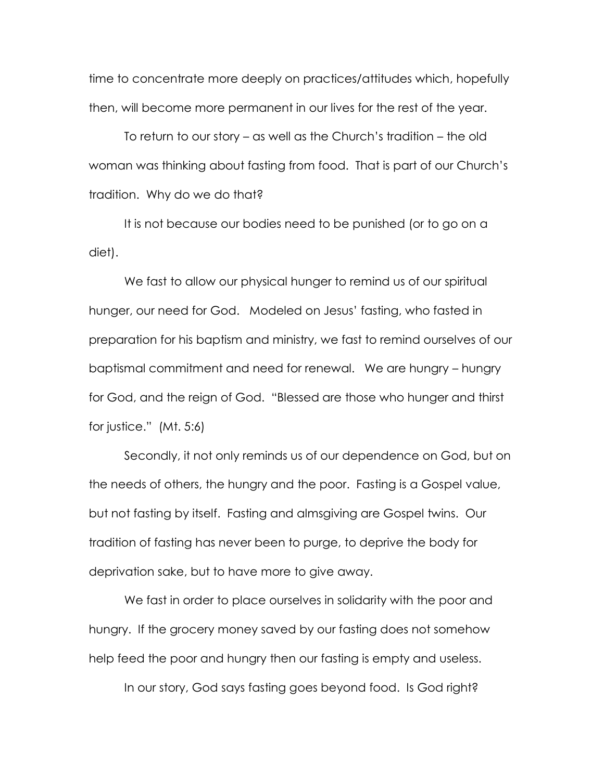time to concentrate more deeply on practices/attitudes which, hopefully then, will become more permanent in our lives for the rest of the year.

To return to our story – as well as the Church's tradition – the old woman was thinking about fasting from food. That is part of our Church's tradition. Why do we do that?

It is not because our bodies need to be punished (or to go on a diet).

We fast to allow our physical hunger to remind us of our spiritual hunger, our need for God. Modeled on Jesus' fasting, who fasted in preparation for his baptism and ministry, we fast to remind ourselves of our baptismal commitment and need for renewal. We are hungry – hungry for God, and the reign of God. "Blessed are those who hunger and thirst for justice." (Mt. 5:6)

Secondly, it not only reminds us of our dependence on God, but on the needs of others, the hungry and the poor. Fasting is a Gospel value, but not fasting by itself. Fasting and almsgiving are Gospel twins. Our tradition of fasting has never been to purge, to deprive the body for deprivation sake, but to have more to give away.

We fast in order to place ourselves in solidarity with the poor and hungry. If the grocery money saved by our fasting does not somehow help feed the poor and hungry then our fasting is empty and useless.

In our story, God says fasting goes beyond food. Is God right?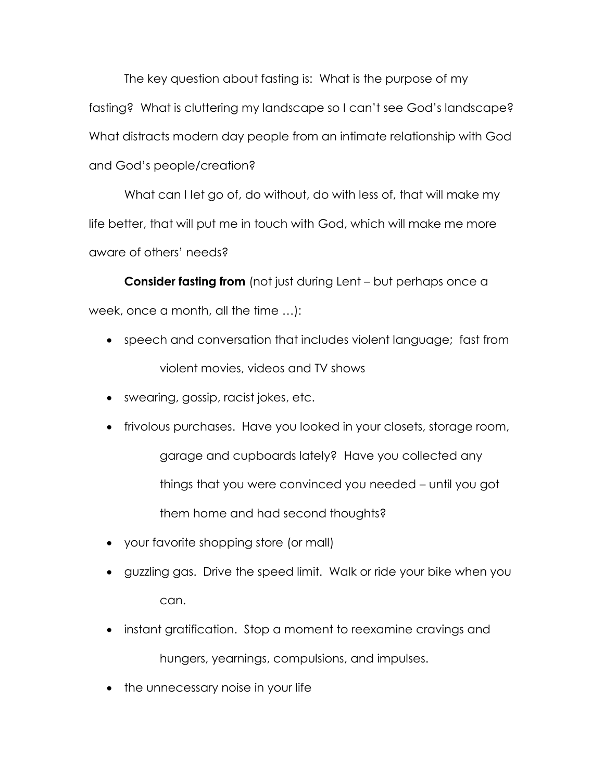The key question about fasting is: What is the purpose of my fasting? What is cluttering my landscape so I can't see God's landscape? What distracts modern day people from an intimate relationship with God and God's people/creation?

What can I Iet go of, do without, do with less of, that will make my life better, that will put me in touch with God, which will make me more aware of others' needs?

**Consider fasting from** (not just during Lent – but perhaps once a week, once a month, all the time …):

- speech and conversation that includes violent language; fast from violent movies, videos and TV shows
- swearing, gossip, racist jokes, etc.
- frivolous purchases. Have you looked in your closets, storage room, garage and cupboards lately? Have you collected any things that you were convinced you needed – until you got them home and had second thoughts?
- your favorite shopping store (or mall)
- guzzling gas. Drive the speed limit. Walk or ride your bike when you can.
- instant gratification. Stop a moment to reexamine cravings and hungers, yearnings, compulsions, and impulses.
- the unnecessary noise in your life